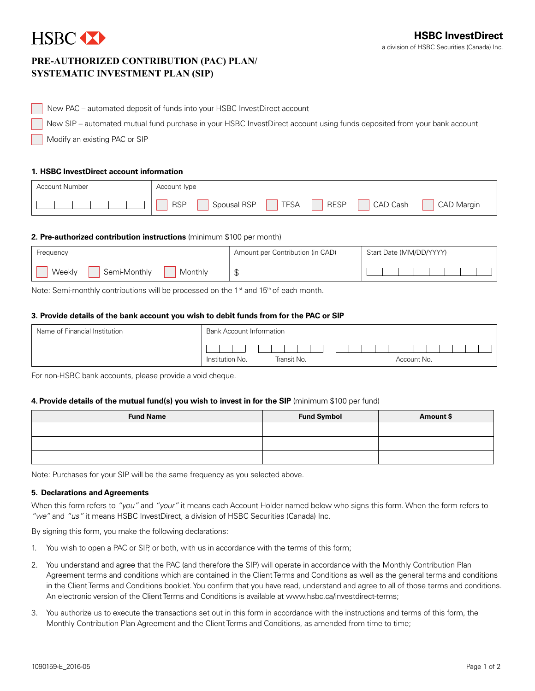# HSBC **XX**

## **Pre-Authorized Contribution (PAC) Plan/ Systematic Investment Plan (SIP)**

New PAC – automated deposit of funds into your HSBC InvestDirect account

New SIP – automated mutual fund purchase in your HSBC InvestDirect account using funds deposited from your bank account

Modify an existing PAC or SIP

#### **1. HSBC InvestDirect account information**

| Account Number | Account Type                                                                      |
|----------------|-----------------------------------------------------------------------------------|
|                | Spousal RSP<br><b>RSP</b><br><b>TFSA</b><br>CAD Cash<br><b>RESP</b><br>CAD Margin |

#### **2. Pre-authorized contribution instructions** (minimum \$100 per month)

| <b>Frequency</b>                  | Amount per Contribution (in CAD) | Start Date (MM/DD/YYYY) |
|-----------------------------------|----------------------------------|-------------------------|
| Weekly<br>Semi-Monthly<br>Monthly | ₼<br>◡                           |                         |

Note: Semi-monthly contributions will be processed on the 1<sup>st</sup> and 15<sup>th</sup> of each month.

#### **3. Provide details of the bank account you wish to debit funds from for the PAC or SIP**

| Name of Financial Institution | <b>Bank Account Information</b> |             |             |
|-------------------------------|---------------------------------|-------------|-------------|
|                               |                                 |             |             |
|                               | Institution No.                 | Transit No. | Account No. |

For non-HSBC bank accounts, please provide a void cheque.

#### **4. Provide details of the mutual fund(s) you wish to invest in for the SIP** (minimum \$100 per fund)

| <b>Fund Name</b> | <b>Fund Symbol</b> | Amount \$ |
|------------------|--------------------|-----------|
|                  |                    |           |
|                  |                    |           |
|                  |                    |           |

Note: Purchases for your SIP will be the same frequency as you selected above.

#### **5. Declarations and Agreements**

When this form refers to *"you"* and *"your"* it means each Account Holder named below who signs this form. When the form refers to *"we"* and *"us"* it means HSBC InvestDirect, a division of HSBC Securities (Canada) Inc.

By signing this form, you make the following declarations:

- 1. You wish to open a PAC or SIP, or both, with us in accordance with the terms of this form;
- 2. You understand and agree that the PAC (and therefore the SIP) will operate in accordance with the Monthly Contribution Plan Agreement terms and conditions which are contained in the Client Terms and Conditions as well as the general terms and conditions in the Client Terms and Conditions booklet. You confirm that you have read, understand and agree to all of those terms and conditions. An electronic version of the Client Terms and Conditions is available at<www.hsbc.ca/investdirect-terms>;
- 3. You authorize us to execute the transactions set out in this form in accordance with the instructions and terms of this form, the Monthly Contribution Plan Agreement and the Client Terms and Conditions, as amended from time to time;